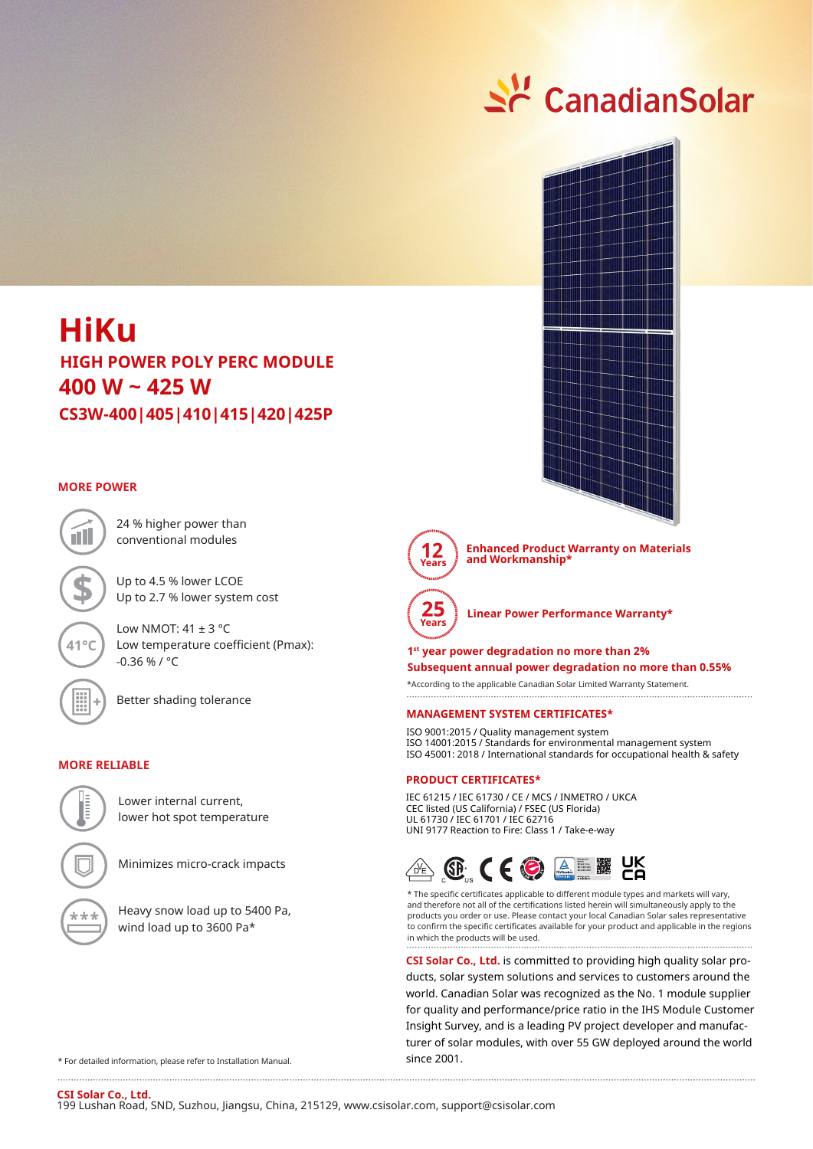# $\leq$  CanadianSolar



# **CS3W-400|405|410|415|420|425P 400 W ~ 425 W HiKu HIGH POWER POLY PERC MODULE**

### **MORE POWER**

**41°C**

24 % higher power than conventional modules

Up to 4.5 % lower LCOE Up to 2.7 % lower system cost

Low NMOT:  $41 \pm 3$  °C Low temperature coefficient (Pmax): -0.36 % / °C



Better shading tolerance

#### **MORE RELIABLE**



Lower internal current, lower hot spot temperature

Minimizes micro-crack impacts

Heavy snow load up to 5400 Pa, wind load up to 3600 Pa\*

**12 Years** 

**Enhanced Product Warranty on Materials and Workmanship\***



**Linear Power Performance Warranty\***

# **1st year power degradation no more than 2% Subsequent annual power degradation no more than 0.55%**

\*According to the applicable Canadian Solar Limited Warranty Statement. 

#### **MANAGEMENT SYSTEM CERTIFICATES\***

ISO 9001:2015 / Quality management system ISO 14001:2015 / Standards for environmental management system ISO 45001: 2018 / International standards for occupational health & safety

#### **PRODUCT CERTIFICATES\***

IEC 61215 / IEC 61730 / CE / MCS / INMETRO / UKCA CEC listed (US California) / FSEC (US Florida) UL 61730 / IEC 61701 / IEC 62716 UNI 9177 Reaction to Fire: Class 1 / Take-e-way



\* The specific certificates applicable to different module types and markets will vary, and therefore not all of the certifications listed herein will simultaneously apply to the products you order or use. Please contact your local Canadian Solar sales representative to confirm the specific certificates available for your product and applicable in the regions in which the products will be used.

**CSI Solar Co., Ltd.** is committed to providing high quality solar products, solar system solutions and services to customers around the world. Canadian Solar was recognized as the No. 1 module supplier for quality and performance/price ratio in the IHS Module Customer Insight Survey, and is a leading PV project developer and manufacturer of solar modules, with over 55 GW deployed around the world since 2001.

\* For detailed information, please refer to Installation Manual.